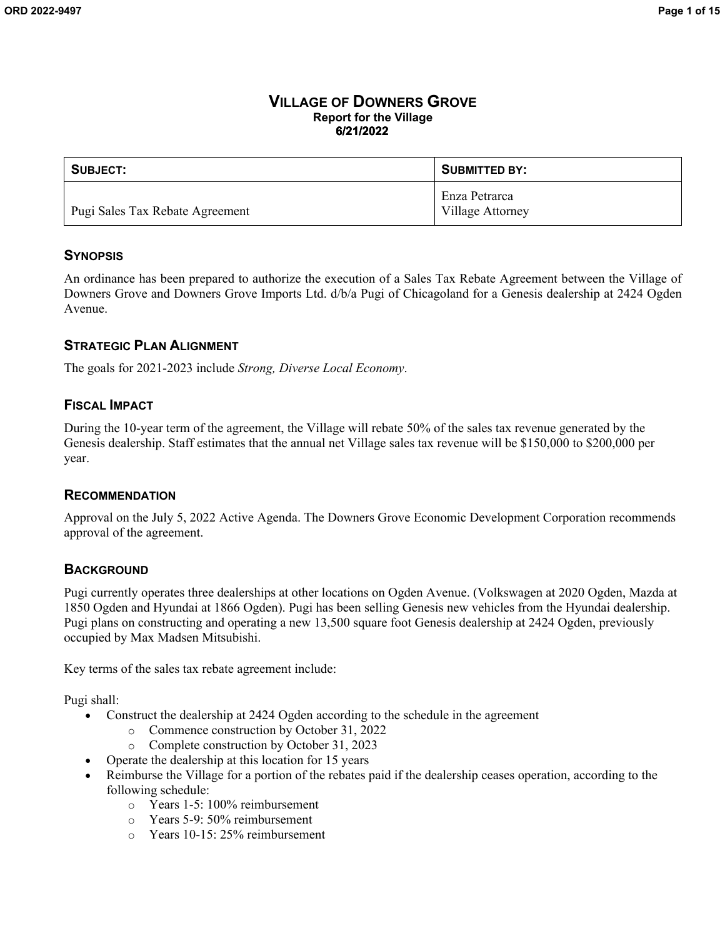#### **VILLAGE OF DOWNERS GROVE Report for the Village 6/21/2022**

| SUBJECT:                        | SUBMITTED BY:                     |
|---------------------------------|-----------------------------------|
| Pugi Sales Tax Rebate Agreement | Enza Petrarca<br>Village Attorney |

#### **SYNOPSIS**

An ordinance has been prepared to authorize the execution of a Sales Tax Rebate Agreement between the Village of Downers Grove and Downers Grove Imports Ltd. d/b/a Pugi of Chicagoland for a Genesis dealership at 2424 Ogden Avenue.

## **STRATEGIC PLAN ALIGNMENT**

The goals for 2021-2023 include *Strong, Diverse Local Economy*.

#### **FISCAL IMPACT**

During the 10-year term of the agreement, the Village will rebate 50% of the sales tax revenue generated by the Genesis dealership. Staff estimates that the annual net Village sales tax revenue will be \$150,000 to \$200,000 per year.

#### **RECOMMENDATION**

Approval on the July 5, 2022 Active Agenda. The Downers Grove Economic Development Corporation recommends approval of the agreement.

#### **BACKGROUND**

Pugi currently operates three dealerships at other locations on Ogden Avenue. (Volkswagen at 2020 Ogden, Mazda at 1850 Ogden and Hyundai at 1866 Ogden). Pugi has been selling Genesis new vehicles from the Hyundai dealership. Pugi plans on constructing and operating a new 13,500 square foot Genesis dealership at 2424 Ogden, previously occupied by Max Madsen Mitsubishi.

Key terms of the sales tax rebate agreement include:

Pugi shall:

- Construct the dealership at 2424 Ogden according to the schedule in the agreement
	- o Commence construction by October 31, 2022
	- o Complete construction by October 31, 2023
	- Operate the dealership at this location for 15 years
- Reimburse the Village for a portion of the rebates paid if the dealership ceases operation, according to the following schedule:
	- o Years 1-5: 100% reimbursement
	- o Years 5-9: 50% reimbursement
	- o Years 10-15: 25% reimbursement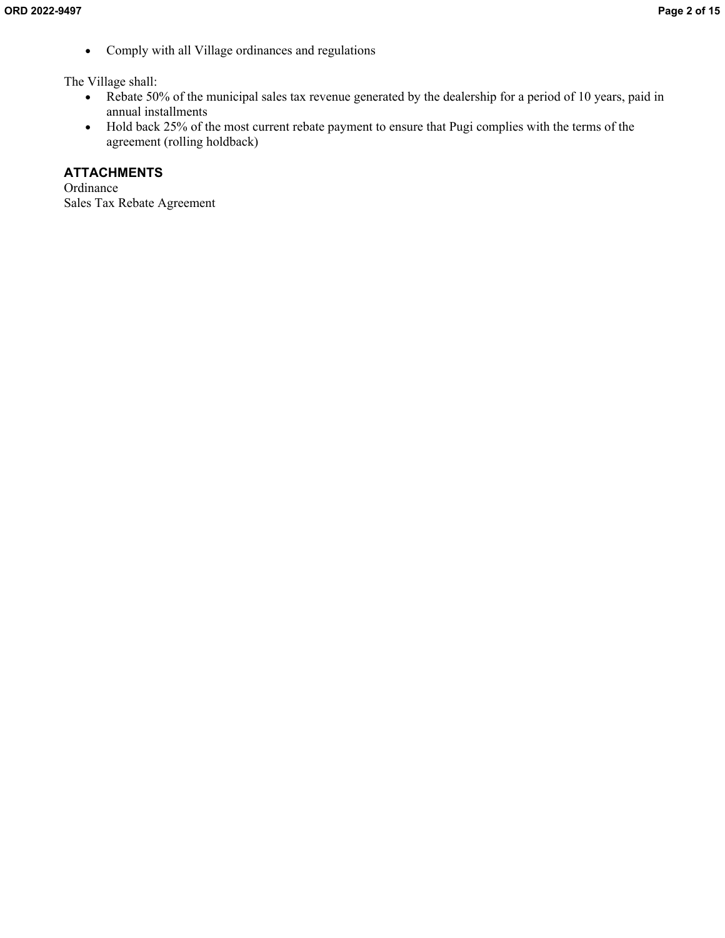Comply with all Village ordinances and regulations

The Village shall:

- Rebate 50% of the municipal sales tax revenue generated by the dealership for a period of 10 years, paid in annual installments
- Hold back 25% of the most current rebate payment to ensure that Pugi complies with the terms of the agreement (rolling holdback)

### **ATTACHMENTS**

Ordinance Sales Tax Rebate Agreement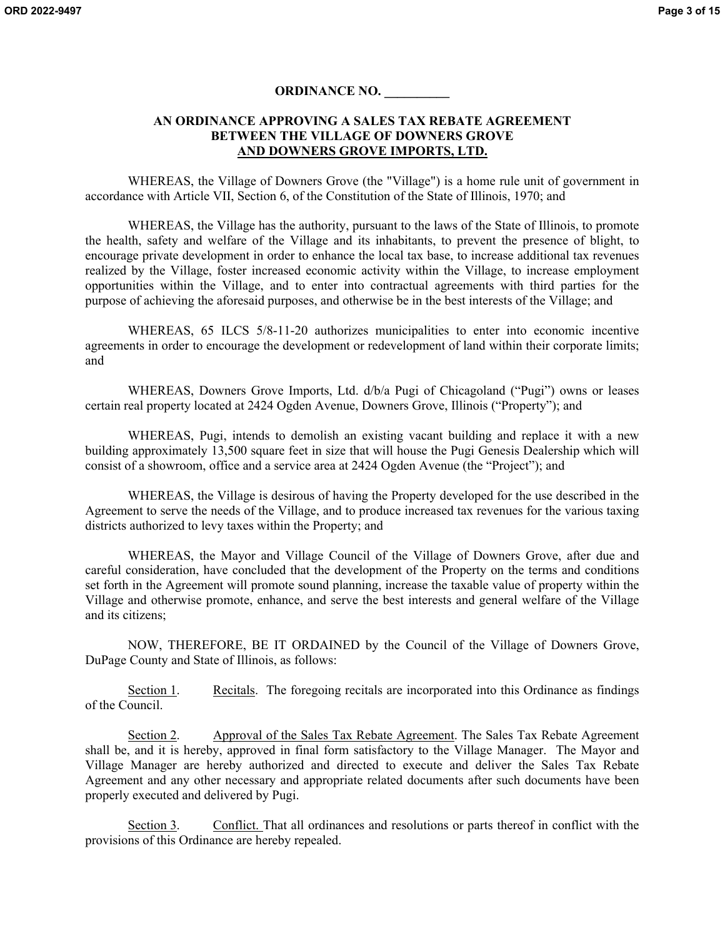#### **ORDINANCE NO. \_\_\_\_\_\_\_\_\_\_**

#### **AN ORDINANCE APPROVING A SALES TAX REBATE AGREEMENT BETWEEN THE VILLAGE OF DOWNERS GROVE AND DOWNERS GROVE IMPORTS, LTD.**

WHEREAS, the Village of Downers Grove (the "Village") is a home rule unit of government in accordance with Article VII, Section 6, of the Constitution of the State of Illinois, 1970; and

WHEREAS, the Village has the authority, pursuant to the laws of the State of Illinois, to promote the health, safety and welfare of the Village and its inhabitants, to prevent the presence of blight, to encourage private development in order to enhance the local tax base, to increase additional tax revenues realized by the Village, foster increased economic activity within the Village, to increase employment opportunities within the Village, and to enter into contractual agreements with third parties for the purpose of achieving the aforesaid purposes, and otherwise be in the best interests of the Village; and

WHEREAS, 65 ILCS 5/8-11-20 authorizes municipalities to enter into economic incentive agreements in order to encourage the development or redevelopment of land within their corporate limits; and

WHEREAS, Downers Grove Imports, Ltd. d/b/a Pugi of Chicagoland ("Pugi") owns or leases certain real property located at 2424 Ogden Avenue, Downers Grove, Illinois ("Property"); and

WHEREAS, Pugi, intends to demolish an existing vacant building and replace it with a new building approximately 13,500 square feet in size that will house the Pugi Genesis Dealership which will consist of a showroom, office and a service area at 2424 Ogden Avenue (the "Project"); and

WHEREAS, the Village is desirous of having the Property developed for the use described in the Agreement to serve the needs of the Village, and to produce increased tax revenues for the various taxing districts authorized to levy taxes within the Property; and

WHEREAS, the Mayor and Village Council of the Village of Downers Grove, after due and careful consideration, have concluded that the development of the Property on the terms and conditions set forth in the Agreement will promote sound planning, increase the taxable value of property within the Village and otherwise promote, enhance, and serve the best interests and general welfare of the Village and its citizens;

NOW, THEREFORE, BE IT ORDAINED by the Council of the Village of Downers Grove, DuPage County and State of Illinois, as follows:

Section 1. Recitals. The foregoing recitals are incorporated into this Ordinance as findings of the Council.

Section 2. Approval of the Sales Tax Rebate Agreement. The Sales Tax Rebate Agreement shall be, and it is hereby, approved in final form satisfactory to the Village Manager. The Mayor and Village Manager are hereby authorized and directed to execute and deliver the Sales Tax Rebate Agreement and any other necessary and appropriate related documents after such documents have been properly executed and delivered by Pugi.

Section 3. Conflict. That all ordinances and resolutions or parts thereof in conflict with the provisions of this Ordinance are hereby repealed.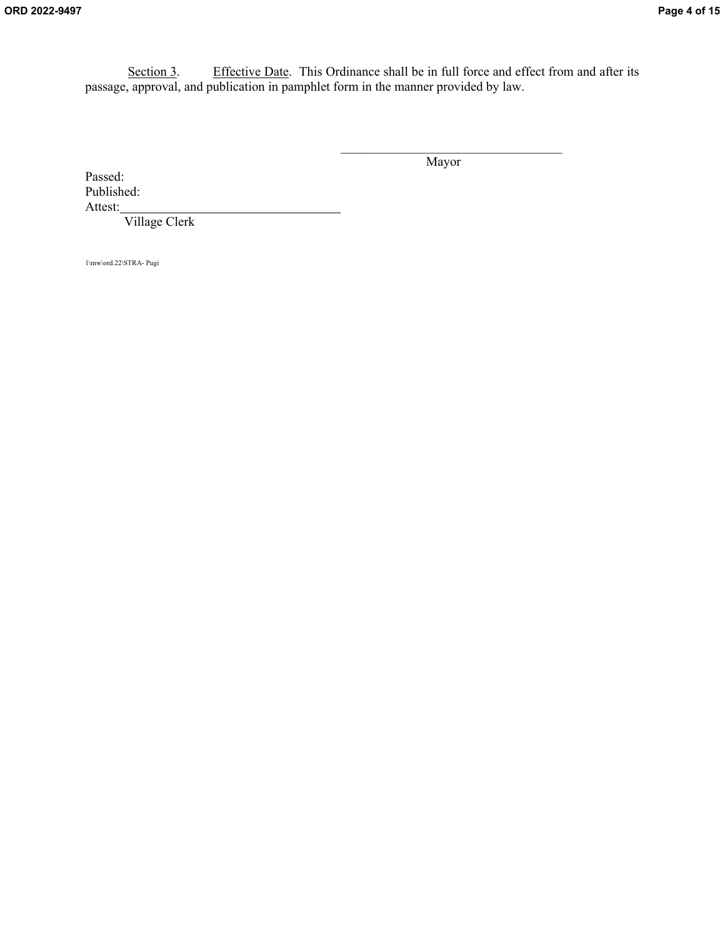Section 3. Effective Date. This Ordinance shall be in full force and effect from and after its passage, approval, and publication in pamphlet form in the manner provided by law.

Mayor

 $\mathcal{L}_\text{max}$ 

Passed: Published: Attest:

Village Clerk

1\mw\ord.22\STRA- Pugi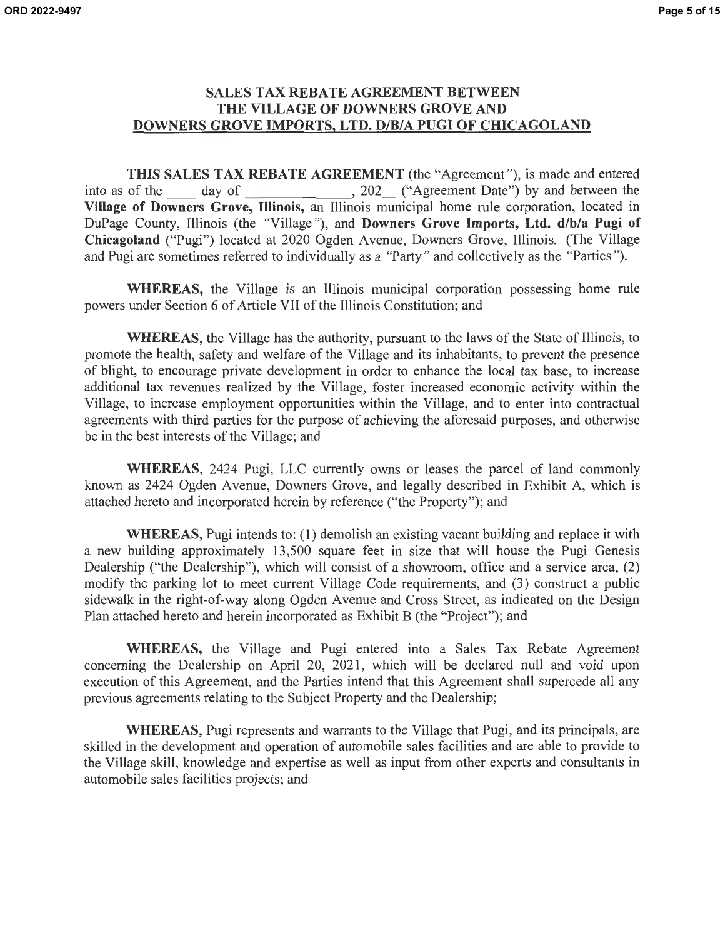#### **SALES TAX REBATE AGREEMENT BETWEEN THE VILLAGE OF DOWNERS GROVE AND DOWNERS GROVE IMPORTS, LTD. D/B/A PUGI OF CHICAGOLAND**

**THIS SALES TAX REBATE AGREEMENT** (the "Agreement "), is made and entered into as of the \_\_\_\_\_ day of \_\_\_\_\_\_\_\_\_\_\_\_\_\_, 202\_\_\_ ("Agreement Date") by and between the **Village of Downers Grove, Illinois,** an Illinois municipal home rule corporation, located in DuPage County, Illinois (the "Village "), and **Downers Grove Imports, Ltd. d/b/a Pugi of Chicagoland** ("Pugi") located at 2020 Ogden A venue, Downers Grove, Illinois. (The Village and Pugi are sometimes referred to individually as a "Party" and collectively as the "Parties ").

**WHEREAS,** the Village is an Illinois municipal corporation possessing home rule powers under Section 6 of Article VII of the Illinois Constitution; and

**WHEREAS,** the Village has the authority, pursuant to the laws of the State of Illinois, to promote the health, safety and welfare of the Village and its inhabitants, to prevent the presence of blight, to encourage private development in order to enhance the local tax base, to increase additional tax revenues realized by the Village, foster increased economic activity within the Village, to increase employment opportunities within the Village, and to enter into contractual agreements with third parties for the purpose of achieving the aforesaid purposes, and otherwise be in the best interests of the Village; and

**WHEREAS,** 2424 Pugi, LLC currently owns or leases the parcel of land commonly known as 2424 Ogden Avenue, Downers Grove, and legally described in Exhibit A, which is attached hereto and incorporated herein by reference ("the Property"); and

**WHEREAS,** Pugi intends to: (1) demolish an existing vacant building and replace it with a new building approximately 13,500 square feet in size that will house the Pugi Genesis Dealership ("the Dealership"), which will consist of a showroom, office and a service area, (2) modify the parking lot to meet current Village Code requirements, and (3) construct a public sidewalk in the right-of-way along Ogden Avenue and Cross Street, as indicated on the Design Plan attached hereto and herein incorporated as Exhibit B (the "Project"); and

**WHEREAS,** the Village and Pugi entered into a Sales Tax Rebate Agreement concerning the Dealership on April 20, 2021, which will be declared null and void upon execution of this Agreement, and the Parties intend that this Agreement shall supercede all any previous agreements relating to the Subject Property and the Dealership;

**WHEREAS,** Pugi represents and warrants to the Village that Pugi, and its principals, are skilled in the development and operation of automobile sales facilities and are able to provide to the Village skill, knowledge and expertise as well as input from other experts and consultants in automobile sales facilities projects; and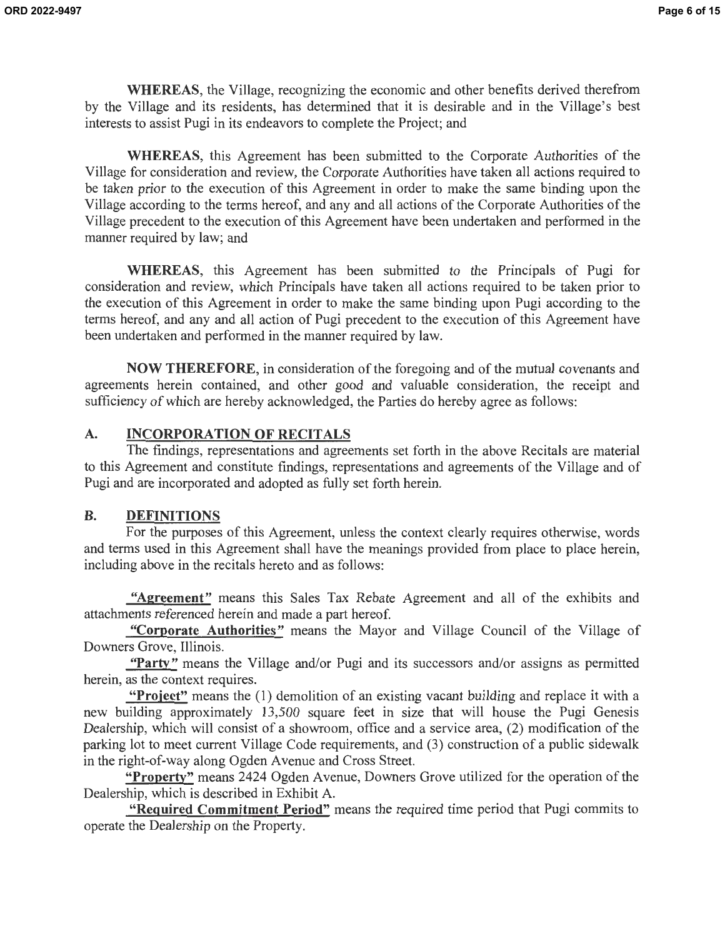**WHEREAS,** the Village, recognizing the economic and other benefits derived therefrom by the Village and its residents, has determined that it is desirable and in the Village's best interests to assist Pugi in its endeavors to complete the Project; and

**WHEREAS,** this Agreement has been submitted to the Corporate Authorities of the Village for consideration and review, the Corporate Authorities have taken all actions required to be taken prior to the execution of this Agreement in order to make the same binding upon the Village according to the terms hereof, and any and all actions of the Corporate Authorities of the Village precedent to the execution of this Agreement have been undertaken and performed in the manner required by law; and

**WHEREAS,** this Agreement has been submitted to the Principals of Pugi for consideration and review, which Principals have taken all actions required to be taken prior to the execution of this Agreement in order to make the same binding upon Pugi according to the terms hereof, and any and all action of Pugi precedent to the execution of this Agreement have been undertaken and performed in the manner required by law.

**NOW THEREFORE,** in consideration of the foregoing and of the mutual covenants and agreements herein contained, and other good and valuable consideration, the receipt and sufficiency of which are hereby acknowledged, the Parties do hereby agree as follows:

## **A. INCORPORATION OF RECITALS**

The findings, representations and agreements set forth in the above Recitals are material to this Agreement and constitute findings, representations and agreements of the Village and of Pugi and are incorporated and adopted as fully set forth herein.

## **B. DEFINITIONS**

For the purposes of this Agreement, unless the context clearly requires otherwise, words and terms used in this Agreement shall have the meanings provided from place to place herein, including above in the recitals hereto and as follows:

**"Agreement"** means this Sales Tax Rebate Agreement and all of the exhibits and attachments referenced herein and made a part hereof.

**"Corporate Authorities"** means the Mayor and Village Council of the Village of Downers Grove, Illinois.

"Party" means the Village and/or Pugi and its successors and/or assigns as permitted herein, as the context requires.

**"Project"** means the (1) demolition of an existing vacant building and replace it with a new building approximately 13,500 square feet in size that will house the Pugi Genesis Dealership, which will consist of a showroom, office and a service area, (2) modification of the parking lot to meet current Village Code requirements, and (3) construction of a public sidewalk in the right-of-way along Ogden A venue and Cross Street.

**"Property"** means 2424 Ogden A venue, Downers Grove utilized for the operation of the Dealership, which is described in Exhibit A.

**"Required Commitment Period"** means the required time period that Pugi commits to operate the Dealership on the Property.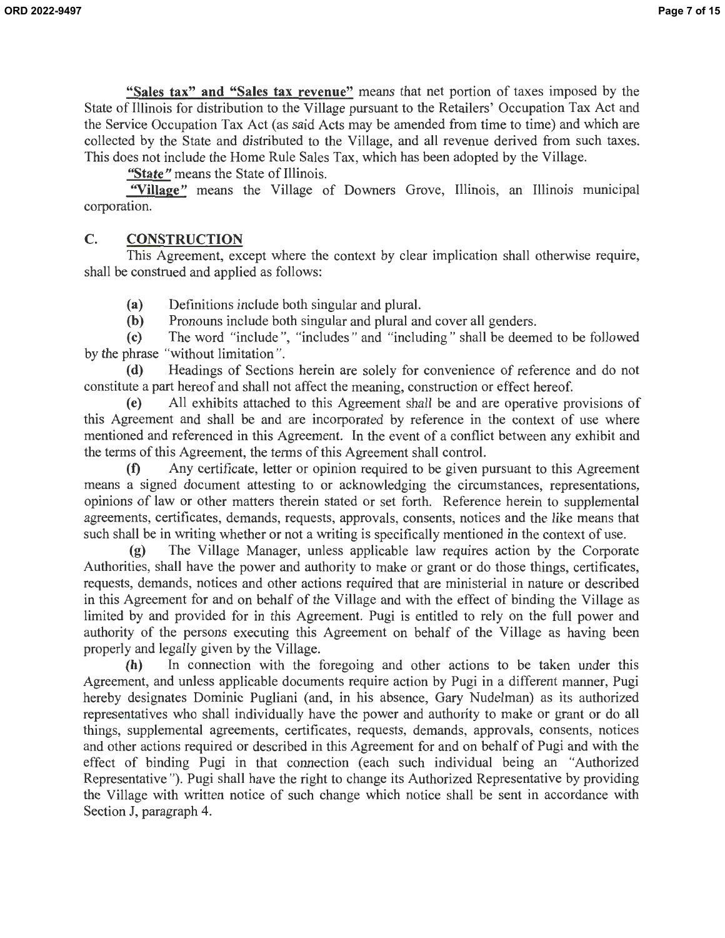**"Sales tax" and "Sales tax revenue"** means that net portion of taxes imposed by the State of Illinois for distribution to the Village pursuant to the Retailers' Occupation Tax Act and the Service Occupation Tax Act (as said Acts may be amended from time to time) and which are collected by the State and distributed to the Village, and all revenue derived from such taxes. This does not include the Home Rule Sales Tax, which has been adopted by the Village.

**"State"** means the State of Illinois.

"Village" means the Village of Downers Grove, Illinois, an Illinois municipal corporation.

# **C. CONSTRUCTION**

This Agreement, except where the context by clear implication shall otherwise require, shall be construed and applied as follows:

**(a)** Definitions include both singular and plural.

**(b)** Pronouns include both singular and plural and cover all genders.

**(c)** The word "include ", "includes " and "including " shall be deemed to be followed by the phrase "without limitation ".

**(d)** Headings of Sections herein are solely for convenience of reference and do not constitute a part hereof and shall not affect the meaning, construction or effect hereof.

**(e)** All exhibits attached to this Agreement shall be and are operative provisions of this Agreement and shall be and are incorporated by reference in the context of use where mentioned and referenced in this Agreement. In the event of a conflict between any exhibit and the terms of this Agreement, the terms of this Agreement shall control.

**(f)** Any certificate, letter or opinion required to be given pursuant to this Agreement means a signed document attesting to or acknowledging the circumstances, representations, opinions of law or other matters therein stated or set forth. Reference herein to supplemental agreements, certificates, demands, requests, approvals, consents, notices and the like means that such shall be in writing whether or not a writing is specifically mentioned in the context of use.

**(g)** The Village Manager, unless applicable law requires action by the Corporate Authorities, shall have the power and authority to make or grant or do those things, certificates, requests, demands, notices and other actions required that are ministerial in nature or described in this Agreement for and on behalf of the Village and with the effect of binding the Village as limited by and provided for in this Agreement. Pugi is entitled to rely on the full power and authority of the persons executing this Agreement on behalf of the Village as having been properly and legally given by the Village.

**(h)** In connection with the foregoing and other actions to be taken under this Agreement, and unless applicable documents require action by Pugi in a different manner, Pugi hereby designates Dominic Pugliani (and, in his absence, Gary Nudelman) as its authorized representatives who shall individually have the power and authority to make or grant or do all things, supplemental agreements, certificates, requests, demands, approvals, consents, notices and other actions required or described in this Agreement for and on behalf of Pugi and with the effect of binding Pugi in that connection ( each such individual being an "Authorized Representative "). Pugi shall have the right to change its Authorized Representative by providing the Village with written notice of such change which notice shall be sent in accordance with Section J, paragraph 4.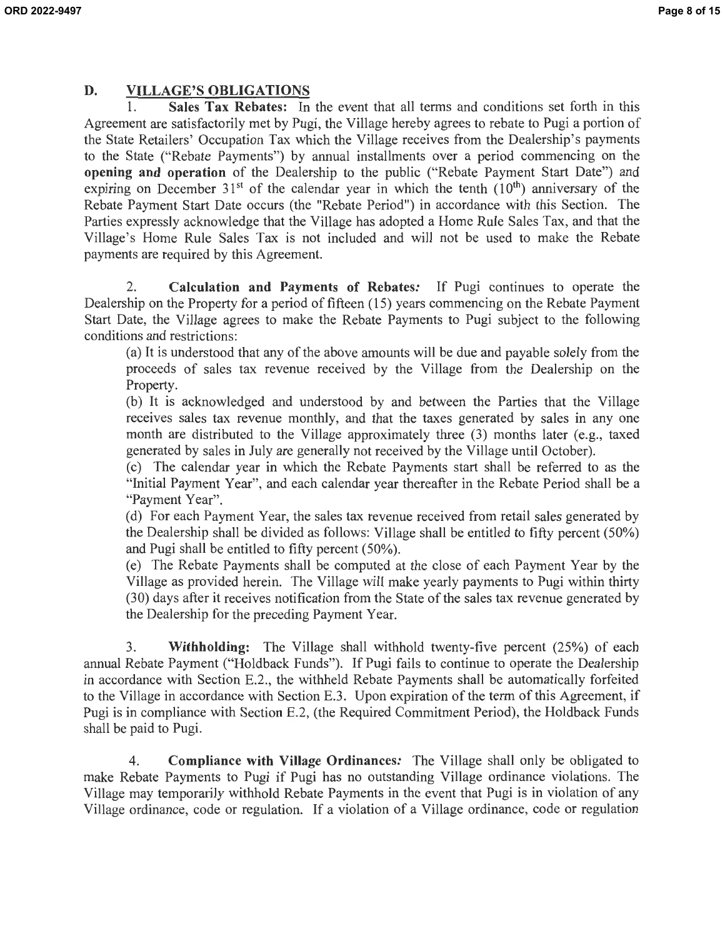### **D. VILLAGE'S OBLIGATIONS**

**1. Sales Tax Rebates:** In the event that all terms and conditions set forth in this Agreement are satisfactorily met by Pugi, the Village hereby agrees to rebate to Pugi a portion of the State Retailers' Occupation Tax which the Village receives from the Dealership's payments to the State ("Rebate Payments") by annual installments over a period commencing on the **opening and operation** of the Dealership to the public ("Rebate Payment Start Date") and expiring on December  $31<sup>st</sup>$  of the calendar year in which the tenth  $(10<sup>th</sup>)$  anniversary of the Rebate Payment Start Date occurs (the "Rebate Period") in accordance with this Section. The Parties expressly acknowledge that the Village has adopted a Home Rule Sales Tax, and that the Village's Home Rule Sales Tax is not included and will not be used to make the Rebate payments are required by this Agreement.

2. **Calculation and Payments of Rebates:** If Pugi continues to operate the Dealership on the Property for a period of fifteen (15) years commencing on the Rebate Payment Start Date, the Village agrees to make the Rebate Payments to Pugi subject to the following conditions and restrictions:

(a) It is understood that any of the above amounts will be due and payable solely from the proceeds of sales tax revenue received by the Village from the Dealership on the Property.

(b) It is acknowledged and understood by and between the Parties that the Village receives sales tax revenue monthly, and that the taxes generated by sales in any one month are distributed to the Village approximately three (3) months later (e.g., taxed generated by sales in July are generally not received by the Village until October).

( c) The calendar year in which the Rebate Payments start shall be referred to as the "Initial Payment Year", and each calendar year thereafter in the Rebate Period shall be a "Payment Year".

(d) For each Payment Year, the sales tax revenue received from retail sales generated by the Dealership shall be divided as follows: Village shall be entitled to fifty percent (50%) and Pugi shall be entitled to fifty percent (50%).

( e) The Rebate Payments shall be computed at the close of each Payment Year by the Village as provided herein. The Village will make yearly payments to Pugi within thirty (30) days after it receives notification from the State of the sales tax revenue generated by the Dealership for the preceding Payment Year.

3. **Withholding:** The Village shall withhold twenty-five percent (25%) of each annual Rebate Payment ("Holdback Funds"). If Pugi fails to continue to operate the Dealership in accordance with Section E.2., the withheld Rebate Payments shall be automatically forfeited to the Village in accordance with Section E.3. Upon expiration of the term of this Agreement, if Pugi is in compliance with Section E.2, (the Required Commitment Period), the Holdback Funds shall be paid to Pugi.

4. **Compliance with Village Ordinances:** The Village shall only be obligated to make Rebate Payments to Pugi if Pugi has no outstanding Village ordinance violations. The Village may temporarily withhold Rebate Payments in the event that Pugi is in violation of any Village ordinance, code or regulation. If a violation of a Village ordinance, code or regulation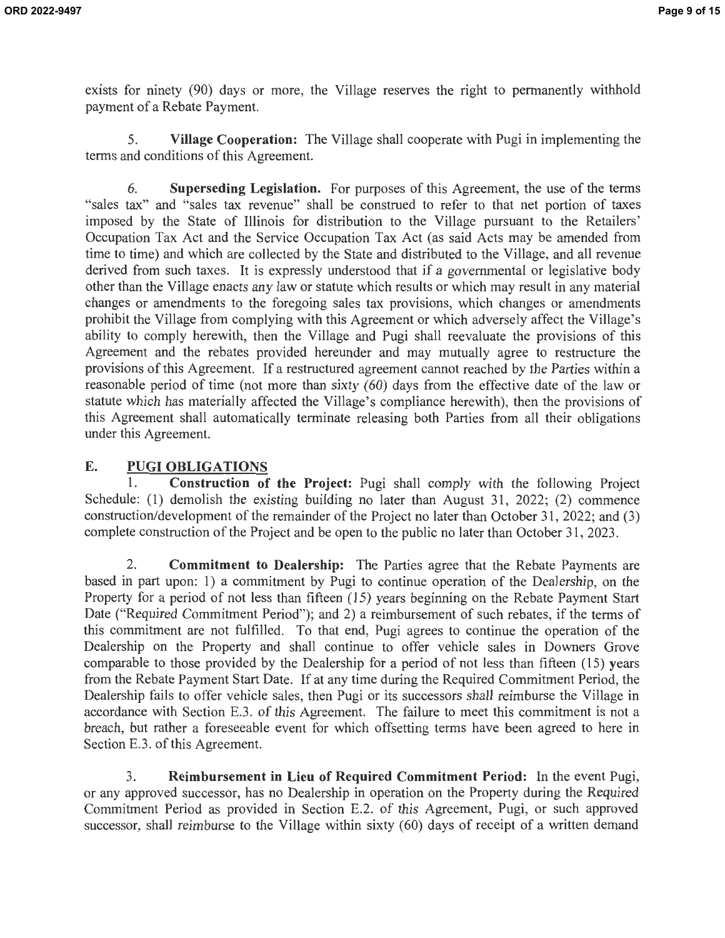exists for ninety (90) days or more, the Village reserves the right to permanently withhold payment of a Rebate Payment.

5. **Village Cooperation:** The Village shall cooperate with Pugi in implementing the terms and conditions of this Agreement.

6. **Superseding Legislation.** For purposes of this Agreement, the use of the terms "sales tax" and "sales tax revenue" shall be construed to refer to that net portion of taxes imposed by the State of Illinois for distribution to the Village pursuant to the Retailers' Occupation Tax Act and the Service Occupation Tax Act (as said Acts may be amended from time to time) and which are collected by the State and distributed to the Village, and all revenue derived from such taxes. It is expressly understood that if a governmental or legislative body other than the Village enacts any law or statute which results or which may result in any material changes or amendments to the foregoing sales tax provisions, which changes or amendments prohibit the Village from complying with this Agreement or which adversely affect the Village's ability to comply herewith, then the Village and Pugi shall reevaluate the provisions of this Agreement and the rebates provided hereunder and may mutually agree to restructure the provisions of this Agreement. If a restructured agreement cannot reached by the Parties within a reasonable period of time (not more than sixty (60) days from the effective date of the law or statute which has materially affected the Village's compliance herewith), then the provisions of this Agreement shall automatically terminate releasing both Parties from all their obligations under this Agreement.

### **E. PUGI OBLIGATIONS**

1. **Construction of the Project:** Pugi shall comply with the following Project Schedule: (1) demolish the existing building no later than August 31, 2022; (2) commence construction/development of the remainder of the Project no later than October 31 , 2022; and (3) complete construction of the Project and be open to the public no later than October 31, 2023.

2. **Commitment to Dealership:** The Parties agree that the Rebate Payments are based in part upon: 1) a commitment by Pugi to continue operation of the Dealership, on the Property for a period of not less than fifteen (15) years beginning on the Rebate Payment Start Date ("Required Commitment Period"); and 2) a reimbursement of such rebates, if the terms of this commitment are not fulfilled. To that end, Pugi agrees to continue the operation of the Dealership on the Property and shall continue to offer vehicle sales in Downers Grove comparable to those provided by the Dealership for a period of not less than fifteen (15) years from the Rebate Payment Start Date. If at any time during the Required Commitment Period, the Dealership fails to offer vehicle sales, then Pugi or its successors shall reimburse the Village in accordance with Section E.3. of this Agreement. The failure to meet this commitment is not a breach, but rather a foreseeable event for which offsetting terms have been agreed to here in Section E.3. of this Agreement.

3. **Reimbursement in Lieu of Required Commitment Period:** In the event Pugi, or any approved successor, has no Dealership in operation on the Property during the Required Commitment Period as provided in Section E.2. of this Agreement, Pugi, or such approved successor, shall reimburse to the Village within sixty (60) days of receipt of a written demand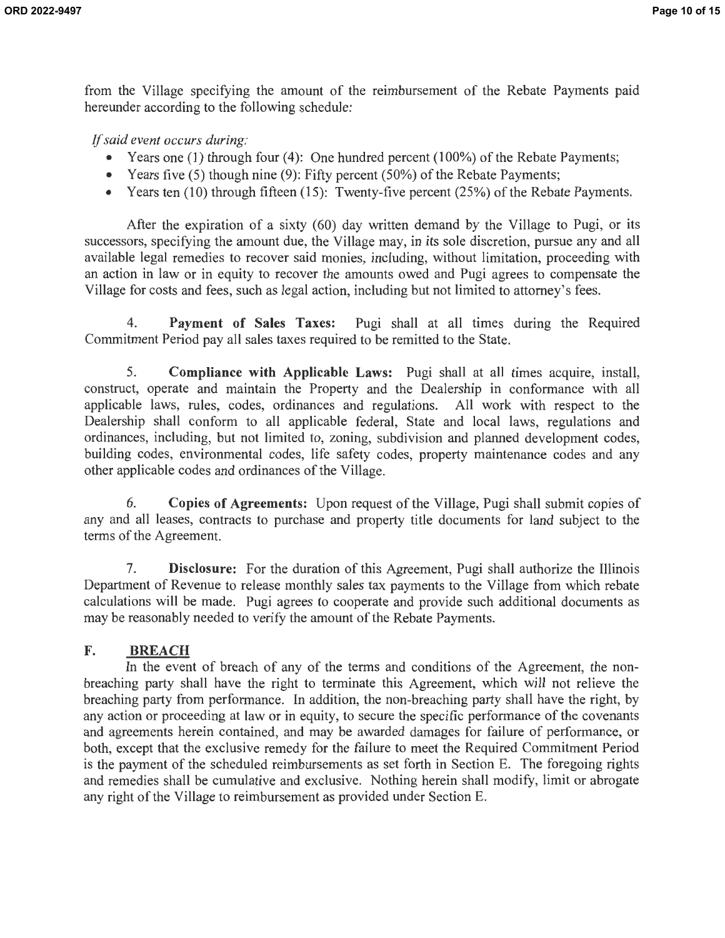from the Village specifying the amount of the reimbursement of the Rebate Payments paid hereunder according to the following schedule:

If *said event occurs during:* 

- Years one (1) through four (4): One hundred percent (100%) of the Rebate Payments;
- Years five (5) though nine (9): Fifty percent (50%) of the Rebate Payments;
- Years ten (10) through fifteen (15): Twenty-five percent (25%) of the Rebate Payments.

After the expiration of a sixty (60) day written demand by the Village to Pugi, or its successors, specifying the amount due, the Village may, in its sole discretion, pursue any and all available legal remedies to recover said monies, including, without limitation, proceeding with an action in law or in equity to recover the amounts owed and Pugi agrees to compensate the Village for costs and fees, such as legal action, including but not limited to attorney's fees.

4. **Payment of Sales Taxes:** Pugi shall at all times during the Required Commitment Period pay all sales taxes required to be remitted to the State.

5. **Compliance with Applicable Laws:** Pugi shall at all times acquire, install, construct, operate and maintain the Property and the Dealership in conformance with all applicable laws, rules, codes, ordinances and regulations. All work with respect to the Dealership shall conform to all applicable federal, State and local laws, regulations and ordinances, including, but not limited to, zoning, subdivision and planned development codes, building codes, environmental codes, life safety codes, property maintenance codes and any other applicable codes and ordinances of the Village.

6. **Copies of Agreements:** Upon request of the Village, Pugi shall submit copies of any and all leases, contracts to purchase and property title documents for land subject to the terms of the Agreement.

7. **Disclosure:** For the duration of this Agreement, Pugi shall authorize the Illinois Department of Revenue to release monthly sales tax payments to the Village from which rebate calculations will be made. Pugi agrees to cooperate and provide such additional documents as may be reasonably needed to verify the amount of the Rebate Payments.

#### **F. BREACH**

In the event of breach of any of the terms and conditions of the Agreement, the nonbreaching party shall have the right to terminate this Agreement, which will not relieve the breaching party from performance. In addition, the non-breaching party shall have the right, by any action or proceeding at law or in equity, to secure the specific performance of the covenants and agreements herein contained, and may be awarded damages for failure of performance, or both, except that the exclusive remedy for the failure to meet the Required Commitment Period is the payment of the scheduled reimbursements as set forth in Section E. The foregoing rights and remedies shall be cumulative and exclusive. Nothing herein shall modify, limit or abrogate any right of the Village to reimbursement as provided under Section E.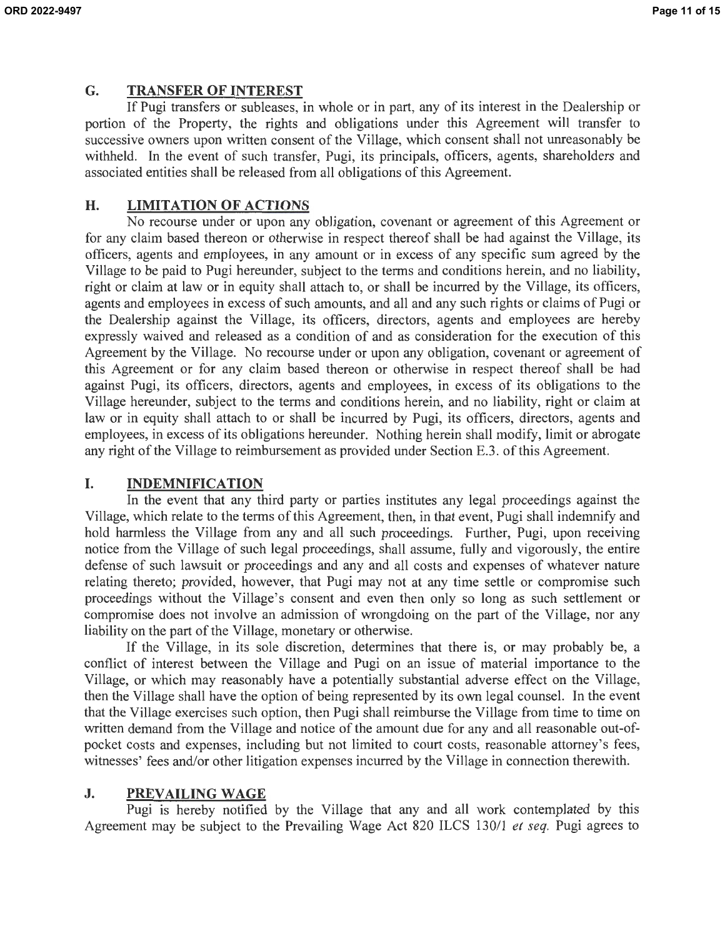### **G. TRANSFER OF INTEREST**

If Pugi transfers or subleases, in whole or in part, any of its interest in the Dealership or portion of the Property, the rights and obligations under this Agreement will transfer to successive owners upon written consent of the Village, which consent shall not unreasonably be withheld. In the event of such transfer, Pugi, its principals, officers, agents, shareholders and associated entities shall be released from all obligations of this Agreement.

### **H. LIMITATION OF ACTIONS**

No recourse under or upon any obligation, covenant or agreement of this Agreement or for any claim based thereon or otherwise in respect thereof shall be had against the Village, its officers, agents and employees, in any amount or in excess of any specific sum agreed by the Village to be paid to Pugi hereunder, subject to the terms and conditions herein, and no liability, right or claim at law or in equity shall attach to, or shall be incurred by the Village, its officers, agents and employees in excess of such amounts, and all and any such rights or claims of Pugi or the Dealership against the Village, its officers, directors, agents and employees are hereby expressly waived and released as a condition of and as consideration for the execution of this Agreement by the Village. No recourse under or upon any obligation, covenant or agreement of this Agreement or for any claim based thereon or otherwise in respect thereof shall be had against Pugi, its officers, directors, agents and employees, in excess of its obligations to the Village hereunder, subject to the terms and conditions herein, and no liability, right or claim at law or in equity shall attach to or shall be incurred by Pugi, its officers, directors, agents and employees, in excess of its obligations hereunder. Nothing herein shall modify, limit or abrogate any right of the Village to reimbursement as provided under Section E.3. of this Agreement.

### **I. INDEMNIFICATION**

In the event that any third party or parties institutes any legal proceedings against the Village, which relate to the terms of this Agreement, then, in that event, Pugi shall indemnify and hold harmless the Village from any and all such proceedings. Further, Pugi, upon receiving notice from the Village of such legal proceedings, shall assume, fully and vigorously, the entire defense of such lawsuit or proceedings and any and all costs and expenses of whatever nature relating thereto; provided, however, that Pugi may not at any time settle or compromise such proceedings without the Village's consent and even then only so long as such settlement or compromise does not involve an admission of wrongdoing on the part of the Village, nor any liability on the part of the Village, monetary or otherwise.

If the Village, in its sole discretion, determines that there is, or may probably be, a conflict of interest between the Village and Pugi on an issue of material importance to the Village, or which may reasonably have a potentially substantial adverse effect on the Village, then the Village shall have the option of being represented by its own legal counsel. In the event that the Village exercises such option, then Pugi shall reimburse the Village from time to time on written demand from the Village and notice of the amount due for any and all reasonable out-ofpocket costs and expenses, including but not limited to court costs, reasonable attorney's fees, witnesses' fees and/or other litigation expenses incurred by the Village in connection therewith.

### **J. PREVAILING WAGE**

Pugi is hereby notified by the Village that any and all work contemplated by this Agreement may be subject to the Prevailing Wage Act 820 ILCS 130/1 *et seq.* Pugi agrees to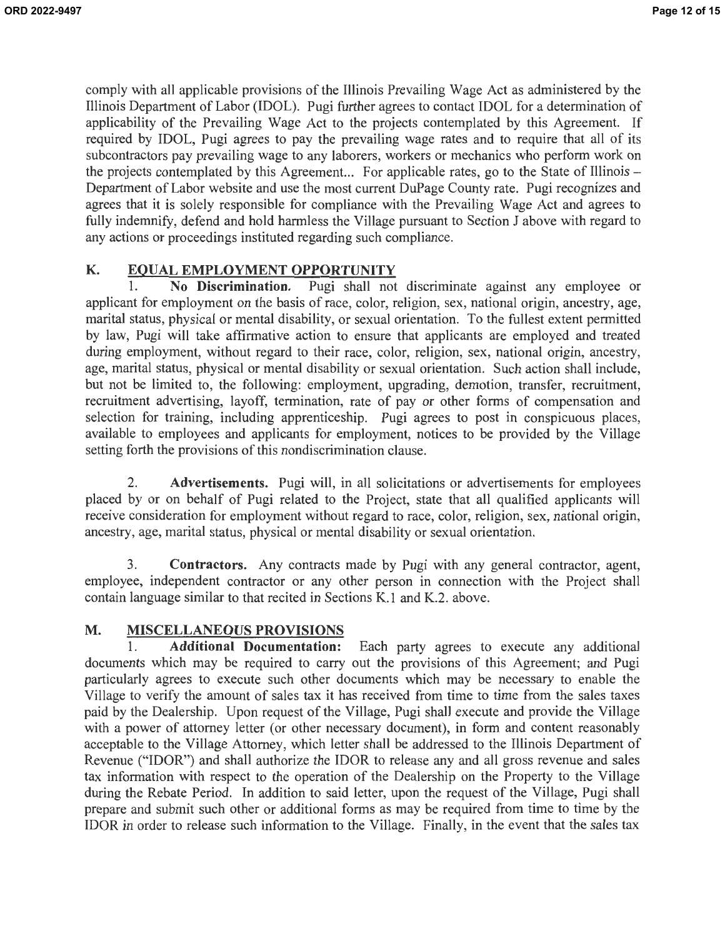comply with all applicable provisions of the Illinois Prevailing Wage Act as administered by the Illinois Department of Labor (IDOL). Pugi further agrees to contact IDOL for a determination of applicability of the Prevailing Wage Act to the projects contemplated by this Agreement. If required by IDOL, Pugi agrees to pay the prevailing wage rates and to require that all of its subcontractors pay prevailing wage to any laborers, workers or mechanics who perform work on the projects contemplated by this Agreement... For applicable rates, go to the State of Illinois – Department of Labor website and use the most current DuPage County rate. Pugi recognizes and agrees that it is solely responsible for compliance with the Prevailing Wage Act and agrees to fully indemnify, defend and hold harmless the Village pursuant to Section J above with regard to any actions or proceedings instituted regarding such compliance.

### **K. EQUAL EMPLOYMENT OPPORTUNITY**

1. **No Discrimination.** Pugi shall not discriminate against any employee or applicant for employment on the basis of race, color, religion, sex, national origin, ancestry, age, marital status, physical or mental disability, or sexual orientation. To the fullest extent permitted by law, Pugi will take affirmative action to ensure that applicants are employed and treated during employment, without regard to their race, color, religion, sex, national origin, ancestry, age, marital status, physical or mental disability or sexual orientation. Such action shall include, but not be limited to, the following: employment, upgrading, demotion, transfer, recruitment, recruitment advertising, layoff, termination, rate of pay or other forms of compensation and selection for training, including apprenticeship. Pugi agrees to post in conspicuous places, available to employees and applicants for employment, notices to be provided by the Village setting forth the provisions of this nondiscrimination clause.

2. **Advertisements.** Pugi will, in all solicitations or advertisements for employees placed by or on behalf of Pugi related to the Project, state that all qualified applicants will receive consideration for employment without regard to race, color, religion, sex, national origin, ancestry, age, marital status, physical or mental disability or sexual orientation.

3. **Contractors.** Any contracts made by Pugi with any general contractor, agent, employee, independent contractor or any other person in connection with the Project shall contain language similar to that recited in Sections K.1 and K.2. above.

### **M. MISCELLANEOUS PROVISIONS**

1. **Additional Documentation:** Each party agrees to execute any additional documents which may be required to carry out the provisions of this Agreement; and Pugi particularly agrees to execute such other documents which may be necessary to enable the Village to verify the amount of sales tax it has received from time to time from the sales taxes paid by the Dealership. Upon request of the Village, Pugi shall execute and provide the Village with a power of attorney letter (or other necessary document), in form and content reasonably acceptable to the Village Attorney, which letter shall be addressed to the Illinois Department of Revenue ("IDOR") and shall authorize the IDOR to release any and all gross revenue and sales tax information with respect to the operation of the Dealership on the Property to the Village during the Rebate Period. In addition to said letter, upon the request of the Village, Pugi shall prepare and submit such other or additional forms as may be required from time to time by the !DOR in order to release such information to the Village. Finally, in the event that the sales tax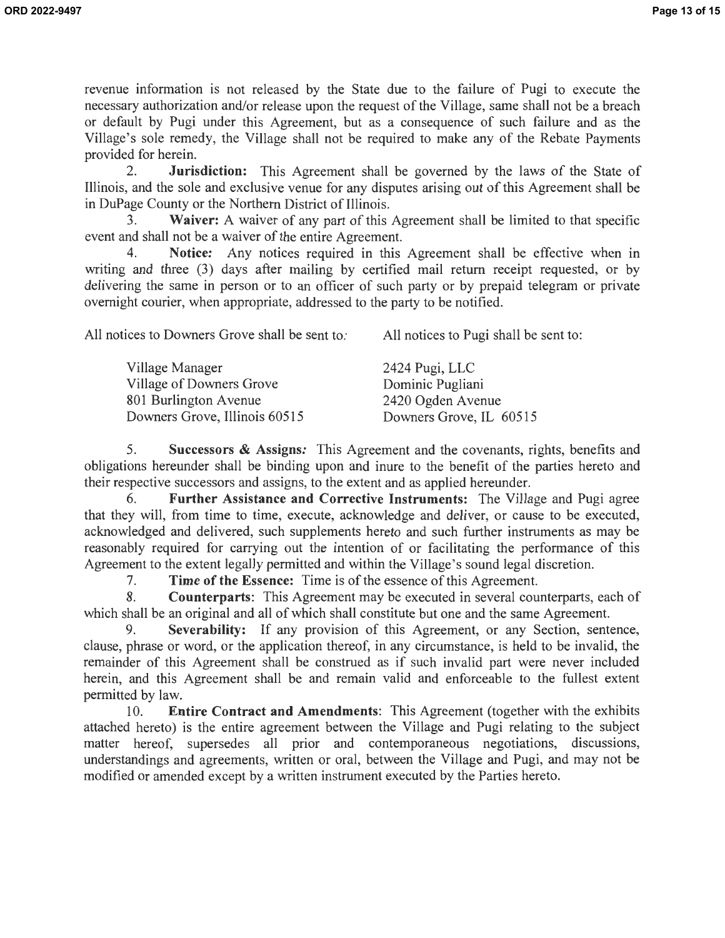revenue information is not released by the State due to the failure of Pugi to execute the necessary authorization and/or release upon the request of the Village, same shall not be a breach or default by Pugi under this Agreement, but as a consequence of such failure and as the Village's sole remedy, the Village shall not be required to make any of the Rebate Payments provided for herein.

2. **Jurisdiction:** This Agreement shall be governed by the laws of the State of Illinois, and the sole and exclusive venue for any disputes arising out of this Agreement shall be in DuPage County or the Northern District of Illinois.

Waiver: A waiver of any part of this Agreement shall be limited to that specific event and shall not be a waiver of the entire Agreement.

4. **Notice:** Any notices required in this Agreement shall be effective when in writing and three (3) days after mailing by certified mail return receipt requested, or by delivering the same in person or to an officer of such party or by prepaid telegram or private overnight courier, when appropriate, addressed to the party to be notified.

All notices to Downers Grove shall be sent *to:*  All notices to Pugi shall be sent to:

| Village Manager               | 2424 Pugi, LLC          |
|-------------------------------|-------------------------|
| Village of Downers Grove      | Dominic Pugliani        |
| 801 Burlington Avenue         | 2420 Ogden Avenue       |
| Downers Grove, Illinois 60515 | Downers Grove, IL 60515 |
|                               |                         |

5. **Successors** & **Assigns:** This Agreement and the covenants, rights, benefits and obligations hereunder shall be binding upon and inure to the benefit of the parties hereto and their respective successors and assigns, to the extent and as applied hereunder.

6. **Further Assistance and Corrective Instruments:** The Village and Pugi agree that they will, from time to time, execute, acknowledge and deliver, or cause to be executed, acknowledged and delivered, such supplements hereto and such further instruments as may be reasonably required for carrying out the intention of or facilitating the performance of this Agreement to the extent legally permitted and within the Village's sound legal discretion.

7. **Time of the Essence:** Time is of the essence of this Agreement.

8. **Counterparts:** This Agreement may be executed in several counterparts, each of which shall be an original and all of which shall constitute but one and the same Agreement.

9. **Severability:** If any provision of this Agreement, or any Section, sentence, clause, phrase or word, or the application thereof, in any circumstance, is held to be invalid, the remainder of this Agreement shall be construed as if such invalid part were never included herein, and this Agreement shall be and remain valid and enforceable to the fullest extent permitted by law.

10. **Entire Contract and Amendments:** This Agreement (together with the exhibits attached hereto) is the entire agreement between the Village and Pugi relating to the subject matter hereof, supersedes all prior and contemporaneous negotiations, discussions, understandings and agreements, written or oral, between the Village and Pugi, and may not be modified or amended except by a written instrument executed by the Parties hereto.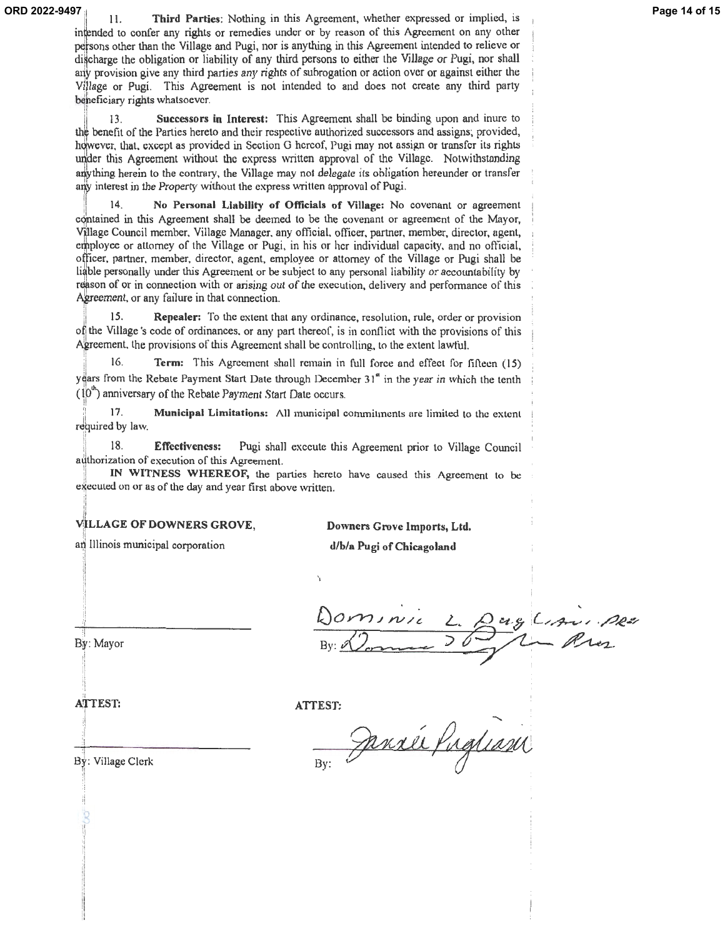11. **Third Parties:** Nothing in this Agreement, whether expressed or implied, is **ORD 2022-9497 Page 14 of 15**intended to confer any rights or remedies under or by reason of this Agreement on any other persons other than the Village and Pugi, nor is anything in this Agreement intended to relieve or digcharge the obligation or liability of any third persons to either the Village or Pugi, nor shall any provision give any third parties any rights of subrogation or action over or against either the Village or Pugi. This Agreement is not intended to and does not create any third party beneficiary rights whatsoever.

13. **Successors in Interest:** This Agreement shall be binding upon and inure to benefit of the Parties hereto and their respective authorized successors and assigns; provided, however, that. except as provided in Section G hereof, Pugi may not assign or transfer its rights under this Agreement without the express written approval of the Village. Notwithstanding anything herein to the contrary, the Village may not delegate its obligation hereunder or transfer any interest in the Property without the express written approval of Pugi.

14. **No Personal Liablllty of Officials of Village:** No covenant or agreement contained in this Agreement shall be deemed to be the covenant or agreement of the Mayor, Village Council member, Village Manager, any official, officer, partner, member, director, agent, employee or attorney of the Village or Pugi, in his or her individual capacity, and no official, officer, partner, member, director, agent, employee or attorney of the Village or Pugi shall be liable personally under this Agreement or be subject to any personal liability or accountability by reason of or in connection with or arising out of the execution, delivery and performance of this Agreement, or any failure in that connection.

15. **Repealer:** To the extent that any ordinance, resolution, rule, order or provision of the Village's code of ordinances, or any part thereof, is in conflict with the provisions of this Agreement, the provisions of this Agreement shall be controlling, to the extent lawful.

16. **Term:** This Agreement shall remain in full force and effect for fiflecn (15) y gars from the Rebate Payment Start Date through December 31<sup>"</sup> in the year in which the tenth  $(10<sup>th</sup>)$  anniversary of the Rebate Payment Start Date occurs.

17. **Municipal Limitations:** All municipal commitments are limited to the extent required by law.

18. **Effectiveness:** Pugi shall execute this Agreement prior to Village Council

authorization of execution of this Agreement.<br>IN WITNESS WHEREOF, the parties hereto have caused this Agreement to be executed on or as of the day and year first above written.

#### **LLAGE OF DOWNERS GROVE,**

an Illinois municipal corporation

**Downers Grove Imports, Ltd.** 

**d/b/a Pugi of Chicagoland** 

erg Lisminger

By: Mayor

**ATTEST:** 

**ATTEST:** 

By: Profinsin

By: Village Clerk